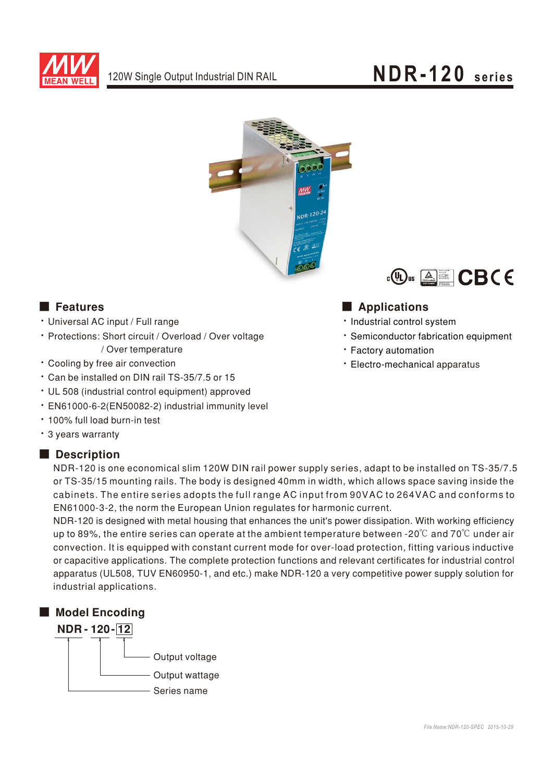

## NDR-120 series



#### **Execution** Features

- · Universal AC input / Full range
- · Protections: Short circuit / Overload / Over voltage / Over temperature
- Cooling by free air convection
- \* Can be installed on DIN rail TS-35/7.5 or 15
- UL 508 (industrial control equipment) approved
- · EN61000-6-2(EN50082-2) industrial immunity level
- . 100% full load burn-in test
- · 3 years warranty

#### Description



### Applications

- · Industrial control system
- · Semiconductor fabrication equipment
- · Factory automation
- · Electro-mechanical apparatus

NDR-120 is one economical slim 120W DIN rail power supply series, adapt to be installed on TS-35/7.5 or TS-35/15 mounting rails. The body is designed 40mm in width, which allows space saving inside the cabinets. The entire series adopts the full range AC input from 90VAC to 264VAC and conforms to EN61000-3-2, the norm the European Union regulates for harmonic current.

NDR-120 is designed with metal housing that enhances the unit's power dissipation. With working efficiency up to 89%, the entire series can operate at the ambient temperature between -20 $\degree$  and 70 $\degree$ C under air convection. It is equipped with constant current mode for over-load protection, fitting various inductive or capacitive applications. The complete protection functions and relevant certificates for industrial control apparatus (UL508, TUV EN60950-1, and etc.) make NDR-120 a very competitive power supply solution for industrial applications.

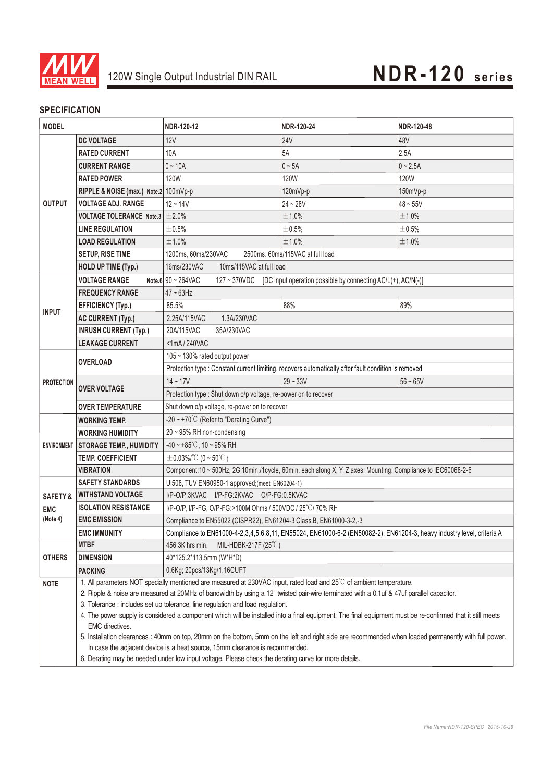

#### **SPECIFICATION**

| <b>MODEL</b>        |                                       | NDR-120-12                                                                                                                                                                                                                 | NDR-120-24  | NDR-120-48  |  |
|---------------------|---------------------------------------|----------------------------------------------------------------------------------------------------------------------------------------------------------------------------------------------------------------------------|-------------|-------------|--|
|                     | <b>DC VOLTAGE</b>                     | 12V                                                                                                                                                                                                                        | <b>24V</b>  | 48V         |  |
| <b>OUTPUT</b>       | <b>RATED CURRENT</b>                  | 10A                                                                                                                                                                                                                        | 5A          | 2.5A        |  |
|                     | <b>CURRENT RANGE</b>                  | $0 - 10A$                                                                                                                                                                                                                  | $0 \sim 5A$ | $0 - 2.5A$  |  |
|                     | RATED POWER                           | 120W                                                                                                                                                                                                                       | <b>120W</b> | <b>120W</b> |  |
|                     | RIPPLE & NOISE (max.) Note.2 100mVp-p |                                                                                                                                                                                                                            | 120mVp-p    | 150mVp-p    |  |
|                     | <b>VOLTAGE ADJ. RANGE</b>             | $12 - 14V$                                                                                                                                                                                                                 | $24 - 28V$  | $48 - 55V$  |  |
|                     | <b>VOLTAGE TOLERANCE Note.3</b>       | ±2.0%                                                                                                                                                                                                                      | ±1.0%       | ±1.0%       |  |
|                     | <b>LINE REGULATION</b>                | ±0.5%                                                                                                                                                                                                                      | ±0.5%       | ±0.5%       |  |
|                     | <b>LOAD REGULATION</b>                | ±1.0%                                                                                                                                                                                                                      | ±1.0%       | ±1.0%       |  |
|                     | <b>SETUP, RISE TIME</b>               | 1200ms, 60ms/230VAC<br>2500ms, 60ms/115VAC at full load                                                                                                                                                                    |             |             |  |
|                     | <b>HOLD UP TIME (Typ.)</b>            | 16ms/230VAC<br>10ms/115VAC at full load                                                                                                                                                                                    |             |             |  |
|                     | <b>VOLTAGE RANGE</b>                  | 127 ~ 370VDC [DC input operation possible by connecting AC/L(+), AC/N(-)]<br>Note.6 $90 \sim 264$ VAC                                                                                                                      |             |             |  |
| <b>INPUT</b>        | <b>FREQUENCY RANGE</b>                | $47 \sim 63$ Hz                                                                                                                                                                                                            |             |             |  |
|                     | <b>EFFICIENCY (Typ.)</b>              | 85.5%                                                                                                                                                                                                                      | 88%         | 89%         |  |
|                     | <b>AC CURRENT (Typ.)</b>              | 2.25A/115VAC<br>1.3A/230VAC                                                                                                                                                                                                |             |             |  |
|                     | <b>INRUSH CURRENT (Typ.)</b>          | 20A/115VAC<br>35A/230VAC                                                                                                                                                                                                   |             |             |  |
|                     | <b>LEAKAGE CURRENT</b>                | <1mA/240VAC                                                                                                                                                                                                                |             |             |  |
| <b>PROTECTION</b>   | <b>OVERLOAD</b>                       | 105 ~ 130% rated output power                                                                                                                                                                                              |             |             |  |
|                     |                                       | Protection type : Constant current limiting, recovers automatically after fault condition is removed                                                                                                                       |             |             |  |
|                     | <b>OVER VOLTAGE</b>                   | $14 - 17V$                                                                                                                                                                                                                 | $29 - 33V$  | $56 - 65V$  |  |
|                     |                                       | Protection type : Shut down o/p voltage, re-power on to recover                                                                                                                                                            |             |             |  |
|                     | <b>OVER TEMPERATURE</b>               | Shut down o/p voltage, re-power on to recover                                                                                                                                                                              |             |             |  |
|                     | <b>WORKING TEMP.</b>                  | -20 ~ +70°C (Refer to "Derating Curve")                                                                                                                                                                                    |             |             |  |
|                     | <b>WORKING HUMIDITY</b>               | 20~95% RH non-condensing                                                                                                                                                                                                   |             |             |  |
|                     | ENVIRONMENT STORAGE TEMP., HUMIDITY   | $-40 \sim +85^{\circ}$ C, 10 ~ 95% RH                                                                                                                                                                                      |             |             |  |
|                     | <b>TEMP. COEFFICIENT</b>              | $\pm$ 0.03%/°C (0 ~ 50°C)                                                                                                                                                                                                  |             |             |  |
|                     | <b>VIBRATION</b>                      | Component:10 ~ 500Hz, 2G 10min./1cycle, 60min. each along X, Y, Z axes; Mounting: Compliance to IEC60068-2-6                                                                                                               |             |             |  |
|                     | <b>SAFETY STANDARDS</b>               | UI508, TUV EN60950-1 approved; (meet EN60204-1)                                                                                                                                                                            |             |             |  |
| <b>SAFETY &amp;</b> | <b>WITHSTAND VOLTAGE</b>              | I/P-O/P:3KVAC I/P-FG:2KVAC O/P-FG:0.5KVAC                                                                                                                                                                                  |             |             |  |
| <b>EMC</b>          | <b>ISOLATION RESISTANCE</b>           | I/P-O/P, I/P-FG, O/P-FG:>100M Ohms / 500VDC / 25°C/70% RH                                                                                                                                                                  |             |             |  |
| (Note 4)            | <b>EMC EMISSION</b>                   | Compliance to EN55022 (CISPR22), EN61204-3 Class B, EN61000-3-2,-3<br>Compliance to EN61000-4-2,3,4,5,6,8,11, EN55024, EN61000-6-2 (EN50082-2), EN61204-3, heavy industry level, criteria A                                |             |             |  |
|                     | <b>EMC IMMUNITY</b>                   |                                                                                                                                                                                                                            |             |             |  |
| <b>OTHERS</b>       | <b>MTBF</b>                           | 456.3K hrs min.<br>MIL-HDBK-217F $(25^{\circ}C)$                                                                                                                                                                           |             |             |  |
|                     | <b>DIMENSION</b>                      | 40*125.2*113.5mm (W*H*D)                                                                                                                                                                                                   |             |             |  |
|                     | <b>PACKING</b>                        | 0.6Kg; 20pcs/13Kg/1.16CUFT                                                                                                                                                                                                 |             |             |  |
| <b>NOTE</b>         |                                       | 1. All parameters NOT specially mentioned are measured at 230VAC input, rated load and 25°C of ambient temperature.                                                                                                        |             |             |  |
|                     |                                       | 2. Ripple & noise are measured at 20MHz of bandwidth by using a 12" twisted pair-wire terminated with a 0.1uf & 47uf parallel capacitor.<br>3. Tolerance : includes set up tolerance, line regulation and load regulation. |             |             |  |
|                     |                                       | 4. The power supply is considered a component which will be installed into a final equipment. The final equipment must be re-confirmed that it still meets                                                                 |             |             |  |
|                     | EMC directives.                       |                                                                                                                                                                                                                            |             |             |  |
|                     |                                       | 5. Installation clearances : 40mm on top, 20mm on the bottom, 5mm on the left and right side are recommended when loaded permanently with full power.                                                                      |             |             |  |
|                     |                                       | In case the adjacent device is a heat source, 15mm clearance is recommended.                                                                                                                                               |             |             |  |
|                     |                                       | 6. Derating may be needed under low input voltage. Please check the derating curve for more details.                                                                                                                       |             |             |  |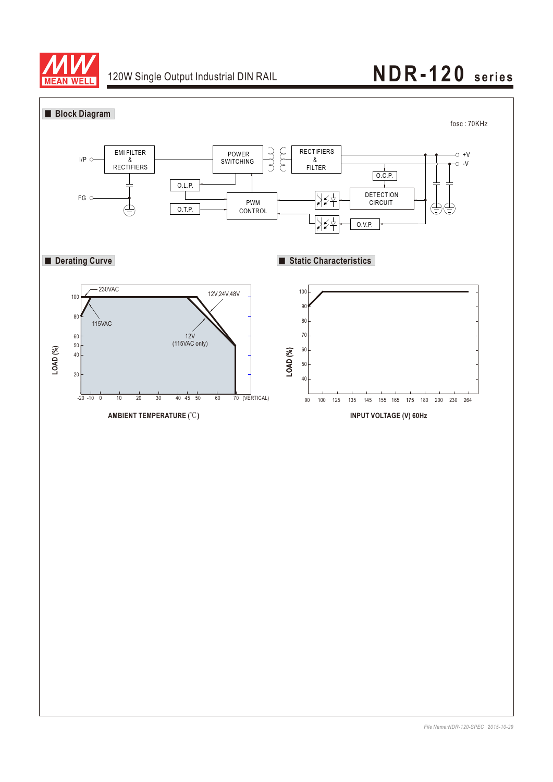

# 120W Single Output Industrial DIN RAIL **NDR-120 series**